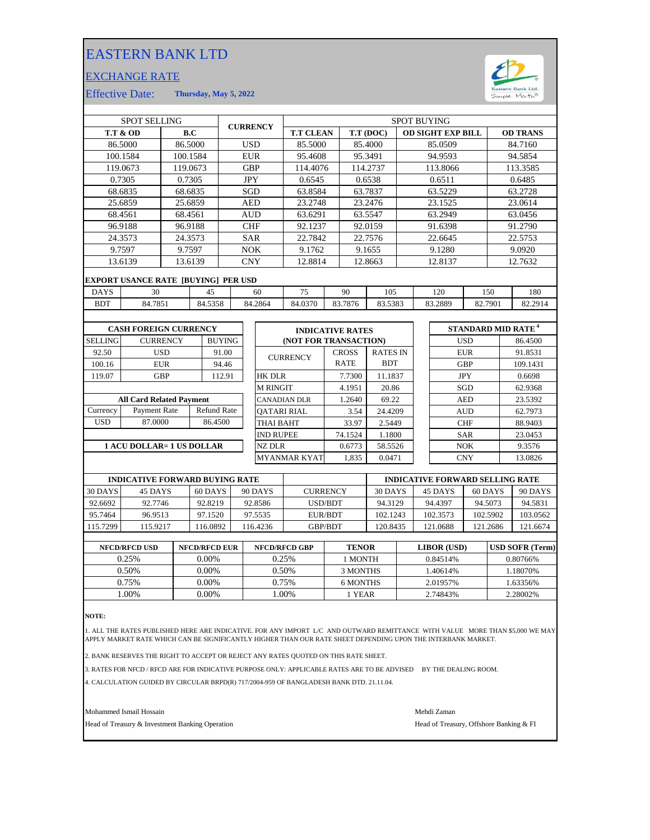## EASTERN BANK LTD

## EXCHANGE RATE



Effective Date: **Thursday, May 5, 2022**

| <b>SPOT SELLING</b>             |                                            |          |         |                    | <b>CURRENCY</b>     |                    | <b>SPOT BUYING</b>    |                         |                 |                          |            |          |                                      |         |          |
|---------------------------------|--------------------------------------------|----------|---------|--------------------|---------------------|--------------------|-----------------------|-------------------------|-----------------|--------------------------|------------|----------|--------------------------------------|---------|----------|
| <b>T.T &amp; OD</b>             |                                            |          | B.C     |                    | <b>T.T CLEAN</b>    |                    |                       | T.T (DOC)               |                 | <b>OD SIGHT EXP BILL</b> |            |          | <b>OD TRANS</b>                      |         |          |
|                                 | 86.5000                                    | 86.5000  |         |                    |                     | <b>USD</b>         | 85.5000               |                         | 85.4000         |                          |            | 85.0509  |                                      |         | 84.7160  |
|                                 | 100.1584                                   | 100.1584 |         |                    |                     | <b>EUR</b>         | 95.4608               |                         | 95.3491         |                          |            | 94.9593  |                                      |         | 94.5854  |
|                                 | 119.0673                                   | 119.0673 |         |                    |                     | <b>GBP</b>         | 114.4076              |                         | 114.2737        |                          |            | 113.8066 |                                      |         | 113.3585 |
|                                 | 0.7305                                     | 0.7305   |         |                    |                     | <b>JPY</b>         | 0.6545                |                         | 0.6538          |                          |            | 0.6511   |                                      |         | 0.6485   |
|                                 | 68.6835                                    | 68.6835  |         |                    |                     | <b>SGD</b>         | 63.8584               |                         | 63.7837         |                          |            | 63.5229  |                                      |         | 63.2728  |
|                                 | 25.6859                                    | 25.6859  |         |                    |                     | <b>AED</b>         | 23.2748               |                         | 23.2476         |                          |            | 23.1525  |                                      |         | 23.0614  |
|                                 | 68.4561                                    | 68.4561  |         |                    |                     | <b>AUD</b>         | 63.6291               |                         | 63.5547         |                          |            | 63.2949  |                                      |         | 63.0456  |
|                                 | 96.9188                                    | 96.9188  |         |                    |                     | <b>CHF</b>         | 92.1237               |                         | 92.0159         |                          |            | 91.6398  |                                      |         | 91.2790  |
|                                 | 24.3573                                    |          | 24.3573 |                    |                     | <b>SAR</b>         | 22.7842               |                         | 22.7576         |                          |            | 22.6645  |                                      |         | 22.5753  |
|                                 | 9.7597                                     | 9.7597   |         |                    |                     | <b>NOK</b>         | 9.1762                |                         | 9.1655          |                          |            | 9.1280   |                                      |         | 9.0920   |
| 13.6139<br>13.6139              |                                            |          |         | <b>CNY</b>         |                     | 12.8814            |                       | 12.8663                 |                 | 12.8137                  |            |          | 12.7632                              |         |          |
|                                 | <b>EXPORT USANCE RATE [BUYING] PER USD</b> |          |         |                    |                     |                    |                       |                         |                 |                          |            |          |                                      |         |          |
| <b>DAYS</b>                     | 30<br>45                                   |          |         |                    | 60                  | 75                 | 90                    | 105                     |                 | 120                      |            | 150      |                                      | 180     |          |
| <b>BDT</b>                      | 84.7851                                    |          |         | 84.5358            |                     | 84.2864            | 84.0370               | 83.7876                 | 83.5383         |                          |            | 83.2889  | 82.7901                              |         | 82.2914  |
|                                 |                                            |          |         |                    |                     |                    |                       |                         |                 |                          |            |          |                                      |         |          |
|                                 | <b>CASH FOREIGN CURRENCY</b>               |          |         |                    |                     |                    |                       | <b>INDICATIVE RATES</b> |                 |                          |            |          | <b>STANDARD MID RATE<sup>4</sup></b> |         |          |
| <b>SELLING</b>                  | <b>CURRENCY</b>                            |          |         | <b>BUYING</b>      |                     |                    | (NOT FOR TRANSACTION) |                         |                 |                          |            |          | <b>USD</b>                           |         | 86.4500  |
| 92.50                           | <b>USD</b>                                 |          |         | 91.00              |                     |                    |                       | <b>CROSS</b>            | <b>RATES IN</b> |                          |            |          | <b>EUR</b>                           |         | 91.8531  |
| 100.16                          | <b>EUR</b>                                 |          |         | 94.46              |                     |                    | <b>CURRENCY</b>       | <b>RATE</b>             | <b>BDT</b>      |                          |            |          | <b>GBP</b>                           |         | 109.1431 |
| 119.07                          | <b>GBP</b>                                 |          |         | 112.91             |                     | <b>HK DLR</b>      |                       | 7.7300                  | 11.1837         |                          |            |          | <b>JPY</b>                           |         | 0.6698   |
|                                 |                                            |          |         |                    |                     | <b>M RINGIT</b>    |                       | 4.1951                  | 20.86           |                          |            | SGD      |                                      | 62.9368 |          |
| <b>All Card Related Payment</b> |                                            |          |         |                    | <b>CANADIAN DLR</b> |                    | 1.2640                | 69.22                   |                 |                          | <b>AED</b> |          | 23.5392                              |         |          |
| Currency                        | Payment Rate                               |          |         | <b>Refund Rate</b> |                     | <b>OATARI RIAL</b> |                       | 3.54                    | 24.4209         |                          |            |          | <b>AUD</b>                           |         | 62.7973  |
| <b>USD</b>                      | 87.0000                                    |          |         | 86.4500            |                     | <b>THAI BAHT</b>   |                       | 33.97                   | 2.5449          |                          |            |          | <b>CHF</b>                           |         | 88.9403  |
|                                 |                                            |          |         |                    |                     | <b>IND RUPEE</b>   |                       | 74.1524                 | 1.1800          |                          |            |          | <b>SAR</b>                           |         | 23.0453  |
| 1 ACU DOLLAR= 1 US DOLLAR       |                                            |          |         |                    |                     | <b>NZ DLR</b>      |                       | 58.5526                 |                 |                          | <b>NOK</b> |          | 9.3576                               |         |          |
|                                 |                                            |          |         |                    |                     |                    | <b>MYANMAR KYAT</b>   | 1.835                   | 0.0471          |                          |            |          | <b>CNY</b>                           |         | 13.0826  |
|                                 |                                            |          |         |                    |                     |                    |                       |                         |                 |                          |            |          |                                      |         |          |

|          | <b>INDICATIVE FORWARD BUYING RATE</b> |          |         |                 | <b>INDICATIVE FORWARD SELLING RATE</b> |          |          |          |  |  |
|----------|---------------------------------------|----------|---------|-----------------|----------------------------------------|----------|----------|----------|--|--|
| 30 DAYS  | 45 DAYS                               | 60 DAYS  | 90 DAYS | <b>CURRENCY</b> | 30 DAYS                                | 45 DAYS  | 60 DAYS  | 90 DAYS  |  |  |
| 92.6692  | 92.7746                               | 92.8219  | 92.8586 | USD/BDT         | 94.3129                                | 94.4397  | 94.5073  | 94.5831  |  |  |
| 95.7464  | 96.9513                               | 97.1520  | 97.5535 | EUR/BDT         | 102.1243                               | 102.3573 | 102.5902 | 103.0562 |  |  |
| 115.7299 | 115.9217                              | 116.0892 | 16.4236 | <b>GBP/BDT</b>  | 120.8435                               | 121.0688 | 121.2686 | 121.6674 |  |  |
|          |                                       |          |         |                 |                                        |          |          |          |  |  |

| <b>NFCD/RFCD USD</b> | <b>NFCD/RFCD EUR</b> | NFCD/RFCD GBP | <b>TENOR</b> | LIBOR (USD) | <b>USD SOFR (Term)</b> |
|----------------------|----------------------|---------------|--------------|-------------|------------------------|
| 0.25%                | $0.00\%$             | 0.25%         | I MONTH      | 0.84514\%   | 0.80766%               |
| 0.50%                | 0.00%                | 0.50%         | 3 MONTHS     | .40614%     | 1.18070%               |
| 0.75%                | 0.00%                | 0.75%         | 6 MONTHS     | 2.01957%    | 1.63356%               |
| .00%                 | 0.00%                | .00%          | 1 YEAR       | 2.74843%    | 2.28002%               |
|                      |                      |               |              |             |                        |

**NOTE:**

1. ALL THE RATES PUBLISHED HERE ARE INDICATIVE. FOR ANY IMPORT L/C AND OUTWARD REMITTANCE WITH VALUE MORE THAN \$5,000 WE MAY APPLY MARKET RATE WHICH CAN BE SIGNIFICANTLY HIGHER THAN OUR RATE SHEET DEPENDING UPON THE INTERBANK MARKET.

2. BANK RESERVES THE RIGHT TO ACCEPT OR REJECT ANY RATES QUOTED ON THIS RATE SHEET.

3. RATES FOR NFCD / RFCD ARE FOR INDICATIVE PURPOSE ONLY: APPLICABLE RATES ARE TO BE ADVISED BY THE DEALING ROOM.

4. CALCULATION GUIDED BY CIRCULAR BRPD(R) 717/2004-959 OF BANGLADESH BANK DTD. 21.11.04.

Mohammed Ismail Hossain Mehdi Zaman

Head of Treasury & Investment Banking Operation **Head of Treasury, Offshore Banking & FI**